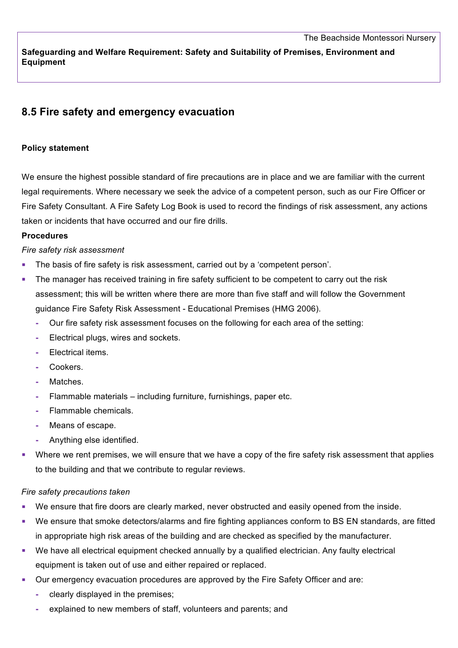**Safeguarding and Welfare Requirement: Safety and Suitability of Premises, Environment and Equipment**

# **8.5 Fire safety and emergency evacuation**

#### **Policy statement**

We ensure the highest possible standard of fire precautions are in place and we are familiar with the current legal requirements. Where necessary we seek the advice of a competent person, such as our Fire Officer or Fire Safety Consultant. A Fire Safety Log Book is used to record the findings of risk assessment, any actions taken or incidents that have occurred and our fire drills.

### **Procedures**

#### *Fire safety risk assessment*

- The basis of fire safety is risk assessment, carried out by a 'competent person'.
- The manager has received training in fire safety sufficient to be competent to carry out the risk assessment; this will be written where there are more than five staff and will follow the Government guidance Fire Safety Risk Assessment - Educational Premises (HMG 2006).
	- **-** Our fire safety risk assessment focuses on the following for each area of the setting:
	- **-** Electrical plugs, wires and sockets.
	- **-** Electrical items.
	- **-** Cookers.
	- **-** Matches.
	- **-** Flammable materials including furniture, furnishings, paper etc.
	- **-** Flammable chemicals.
	- **-** Means of escape.
	- **-** Anything else identified.
- Where we rent premises, we will ensure that we have a copy of the fire safety risk assessment that applies to the building and that we contribute to regular reviews.

#### *Fire safety precautions taken*

- We ensure that fire doors are clearly marked, never obstructed and easily opened from the inside.
- We ensure that smoke detectors/alarms and fire fighting appliances conform to BS EN standards, are fitted in appropriate high risk areas of the building and are checked as specified by the manufacturer.
- We have all electrical equipment checked annually by a qualified electrician. Any faulty electrical equipment is taken out of use and either repaired or replaced.
- Our emergency evacuation procedures are approved by the Fire Safety Officer and are:
	- **-** clearly displayed in the premises;
	- **-** explained to new members of staff, volunteers and parents; and